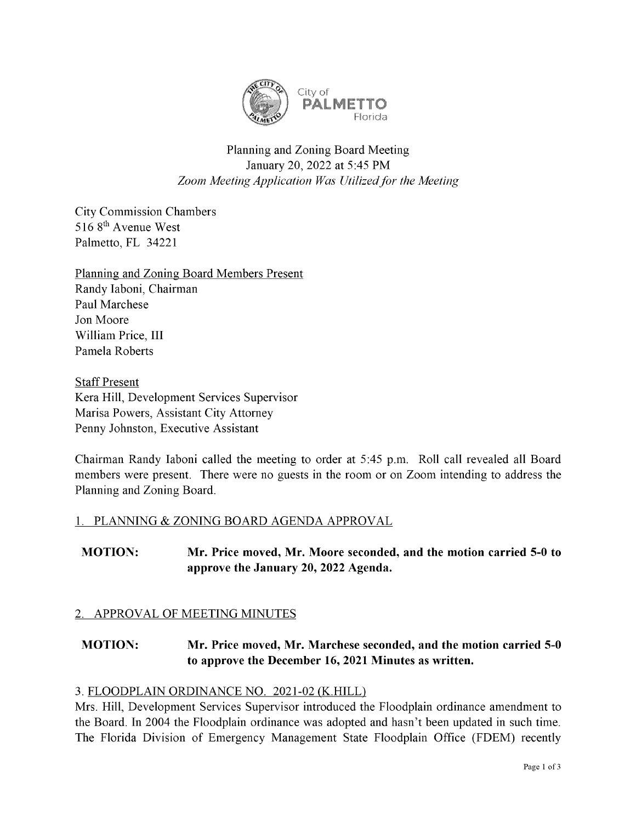

# Planning and Zoning Board Meeting January 20, 2022 at 5:45 PM Zoom Meeting Application Was Utilized for the Meeting

CityCommission Chambers 5168<sup>th</sup> Avenue West Palmetto, FL 34221

Planning and Zoning Board Members Present Randy Iaboni, Chairman Paul Marchese Jon Moore William Price, III Pamela Roberts

**Staff Present** Kera Hill, Development Services Supervisor Marisa Powers, Assistant CityAttorney Penny Johnston, Executive Assistant

Chairman Randy Iaboni called the meeting to order at 5:45 p.m. Roll call revealed all Board members were present. There were no guests in the room or on Zoom intending to address the Planning and Zoning Board.

## 1. PLANNING & ZONING BOARD AGENDA APPROVAL

MOTION: Mr. Price moved, Mr. Moore seconded, and the motion carried 5-0 to approve the January 20, 2022 Agenda.

## 2. APPROVAL OF MEETING MINUTES

# MOTION: Mr. Price moved, Mr. Marchese seconded, and the motion carried 5-0 to approve the December 16, 2021 Minutes as written.

## 3. FLOODPLAIN ORDINANCE NO. 2021-02 (K.HILL)

Mrs. Hill, Development Services Supervisor introduced the Floodplain ordinance amendment to the Board. In 2004 the Floodplain ordinance was adopted and hasn't been updated in such time. The Florida Division of Emergency Management State Floodplain Office (FDEM) recently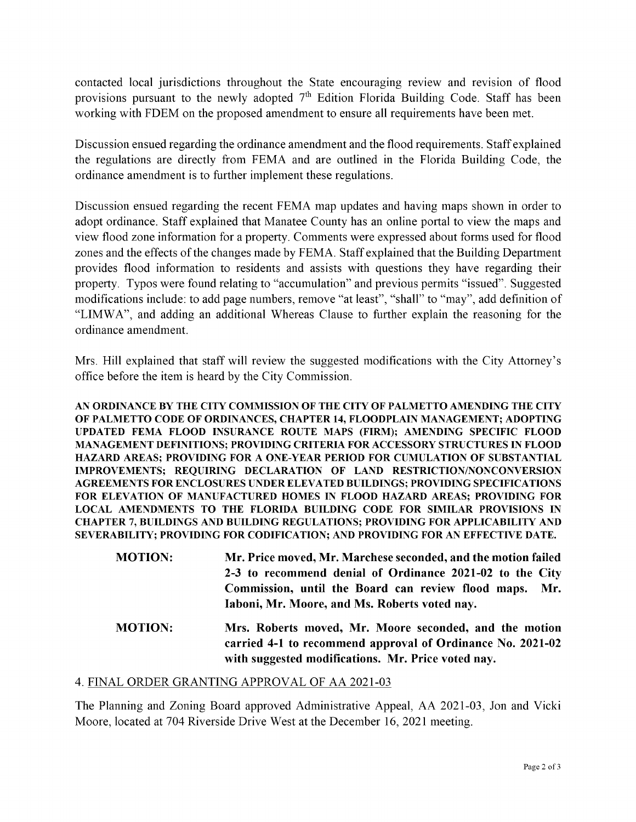contacted local jurisdictions throughout the State encouraging review and revision of flood provisions pursuant to the newly adopted  $7<sup>th</sup>$  Edition Florida Building Code. Staff has been working with FDEM on the proposed amendment to ensure all requirements have been met.

Discussion ensued regarding the ordinance amendment and the flood requirements. Staff explained the regulations are directly from FEMA and are outlined in the Florida Building Code, the ordinance amendment is to further implement these regulations.

Discussion ensued regarding the recent FEMA map updates and having maps shown in order to adopt ordinance. Staff explained that Manatee County has an online portal to view the maps and view flood zone information for a property. Comments were expressed about forms used for flood zones and the effects of the changes made by FEMA. Staff explained that the Building Department provides flood information to residents and assists with questions they have regarding their property. Typos were found relating to "accumulation" and previous permits "issued". Suggested modifications include: to add page numbers, remove "at least", "shall" to "may", add definition of "LIMWA", and adding an additional Whereas Clause to further explain the reasoning for the ordinance amendment.

Mrs. Hill explained that staff will review the suggested modifications with the City Attorney's office before the item is heard by the City Commission.

AN ORDINANCE BY THE CITY COMMISSION OF THE CITY OF PALMETTO AMENDING THE CITY OF PALMETTO CODE OF ORDINANCES, CHAPTER 14, FLOODPLAIN MANAGEMENT; ADOPTING UPDATED FEMAFLOOD INSURANCE ROUTE MAPS (FIRM); AMENDING SPECIFIC FLOOD MANAGEMENT DEFINITIONS; PROVIDING CRITERIA FORACCESSORY STRUCTURES INFLOOD HAZARD AREAS; PROVIDING FOR A ONE-YEAR PERIOD FOR CUMULATION OF SUBSTANTIAL IMPROVEMENTS; REQUIRING DECLARATION OF LAND RESTRICTION/NONCONVERSION AGREEMENTS FOR ENCLOSURES UNDER ELEVATED BUILDINGS; PROVIDING SPECIFICATIONS FOR ELEVATION OF MANUFACTURED HOMES IN FLOOD HAZARD AREAS; PROVIDING FOR LOCAL AMENDMENTS TO THE FLORIDA BUILDING CODE FOR SIMILAR PROVISIONS IN CHAPTER 7, BUILDINGS AND BUILDING REGULATIONS; PROVIDING FORAPPLICABILITY AND SEVERABILITY; PROVIDING FOR CODIFICATION; AND PROVIDING FOR AN EFFECTIVE DATE.

- MOTION: Mr. Price moved, Mr. Marchese seconded, and the motion failed 2-3 to recommend denial of Ordinance 2021-02 to the City Commission, until the Board can review flood maps. Mr. Iaboni, Mr. Moore, and Ms. Roberts voted nay.
- MOTION: Mrs. Roberts moved, Mr. Moore seconded, and the motion carried 4-1 to recommend approval of Ordinance No. 2021-02 with suggested modifications. Mr. Price voted nay.

#### 4. FINAL ORDER GRANTING APPROVAL OF AA 2021-03

The Planning and Zoning Board approved Administrative Appeal, AA 2021-03, Jon and Vicki Moore, located at 704 Riverside Drive West at the December 16, 2021 meeting.